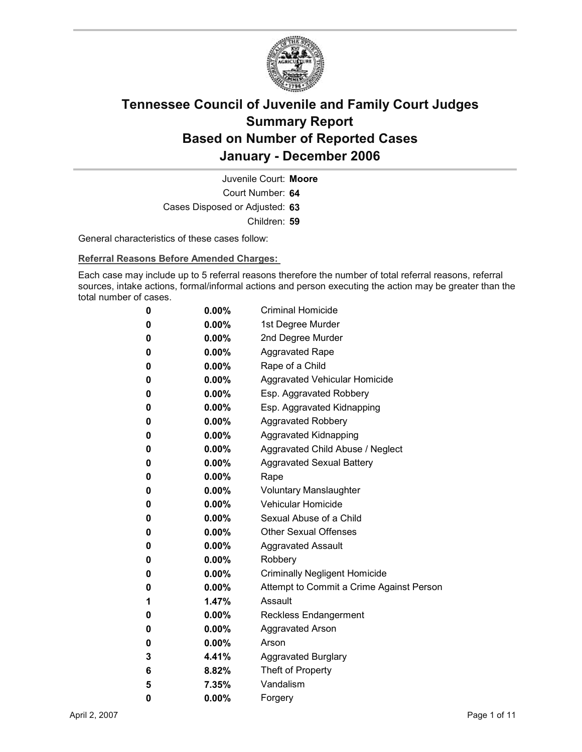

Court Number: **64** Juvenile Court: **Moore** Cases Disposed or Adjusted: **63** Children: **59**

General characteristics of these cases follow:

**Referral Reasons Before Amended Charges:** 

Each case may include up to 5 referral reasons therefore the number of total referral reasons, referral sources, intake actions, formal/informal actions and person executing the action may be greater than the total number of cases.

| 0 | $0.00\%$ | <b>Criminal Homicide</b>                 |
|---|----------|------------------------------------------|
| 0 | $0.00\%$ | 1st Degree Murder                        |
| 0 | $0.00\%$ | 2nd Degree Murder                        |
| 0 | $0.00\%$ | <b>Aggravated Rape</b>                   |
| 0 | $0.00\%$ | Rape of a Child                          |
| 0 | 0.00%    | Aggravated Vehicular Homicide            |
| 0 | $0.00\%$ | Esp. Aggravated Robbery                  |
| 0 | $0.00\%$ | Esp. Aggravated Kidnapping               |
| 0 | 0.00%    | <b>Aggravated Robbery</b>                |
| 0 | $0.00\%$ | Aggravated Kidnapping                    |
| 0 | $0.00\%$ | Aggravated Child Abuse / Neglect         |
| 0 | $0.00\%$ | <b>Aggravated Sexual Battery</b>         |
| 0 | $0.00\%$ | Rape                                     |
| 0 | $0.00\%$ | Voluntary Manslaughter                   |
| 0 | $0.00\%$ | <b>Vehicular Homicide</b>                |
| 0 | $0.00\%$ | Sexual Abuse of a Child                  |
| 0 | $0.00\%$ | <b>Other Sexual Offenses</b>             |
| 0 | $0.00\%$ | <b>Aggravated Assault</b>                |
| 0 | 0.00%    | Robbery                                  |
| 0 | $0.00\%$ | <b>Criminally Negligent Homicide</b>     |
| 0 | 0.00%    | Attempt to Commit a Crime Against Person |
| 1 | 1.47%    | Assault                                  |
| 0 | $0.00\%$ | <b>Reckless Endangerment</b>             |
| 0 | $0.00\%$ | <b>Aggravated Arson</b>                  |
| 0 | $0.00\%$ | Arson                                    |
| 3 | 4.41%    | <b>Aggravated Burglary</b>               |
| 6 | 8.82%    | Theft of Property                        |
| 5 | 7.35%    | Vandalism                                |
| 0 | 0.00%    | Forgery                                  |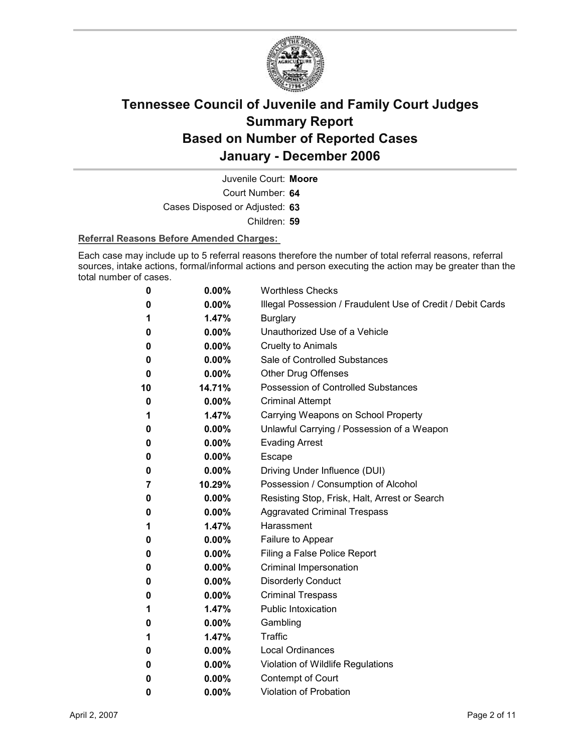

Court Number: **64** Juvenile Court: **Moore**

Cases Disposed or Adjusted: **63**

Children: **59**

#### **Referral Reasons Before Amended Charges:**

Each case may include up to 5 referral reasons therefore the number of total referral reasons, referral sources, intake actions, formal/informal actions and person executing the action may be greater than the total number of cases.

| 0  | 0.00%    | <b>Worthless Checks</b>                                     |
|----|----------|-------------------------------------------------------------|
| 0  | $0.00\%$ | Illegal Possession / Fraudulent Use of Credit / Debit Cards |
| 1  | 1.47%    | <b>Burglary</b>                                             |
| 0  | $0.00\%$ | Unauthorized Use of a Vehicle                               |
| 0  | $0.00\%$ | <b>Cruelty to Animals</b>                                   |
| 0  | $0.00\%$ | Sale of Controlled Substances                               |
| 0  | $0.00\%$ | <b>Other Drug Offenses</b>                                  |
| 10 | 14.71%   | Possession of Controlled Substances                         |
| 0  | $0.00\%$ | <b>Criminal Attempt</b>                                     |
| 1  | 1.47%    | Carrying Weapons on School Property                         |
| 0  | 0.00%    | Unlawful Carrying / Possession of a Weapon                  |
| 0  | 0.00%    | <b>Evading Arrest</b>                                       |
| 0  | $0.00\%$ | Escape                                                      |
| 0  | $0.00\%$ | Driving Under Influence (DUI)                               |
| 7  | 10.29%   | Possession / Consumption of Alcohol                         |
| 0  | 0.00%    | Resisting Stop, Frisk, Halt, Arrest or Search               |
| 0  | $0.00\%$ | <b>Aggravated Criminal Trespass</b>                         |
| 1  | 1.47%    | Harassment                                                  |
| 0  | $0.00\%$ | Failure to Appear                                           |
| 0  | $0.00\%$ | Filing a False Police Report                                |
| 0  | 0.00%    | Criminal Impersonation                                      |
| 0  | $0.00\%$ | <b>Disorderly Conduct</b>                                   |
| 0  | $0.00\%$ | <b>Criminal Trespass</b>                                    |
| 1  | 1.47%    | <b>Public Intoxication</b>                                  |
| 0  | $0.00\%$ | Gambling                                                    |
| 1  | 1.47%    | Traffic                                                     |
| 0  | 0.00%    | <b>Local Ordinances</b>                                     |
| 0  | 0.00%    | Violation of Wildlife Regulations                           |
| 0  | $0.00\%$ | Contempt of Court                                           |
| 0  | 0.00%    | <b>Violation of Probation</b>                               |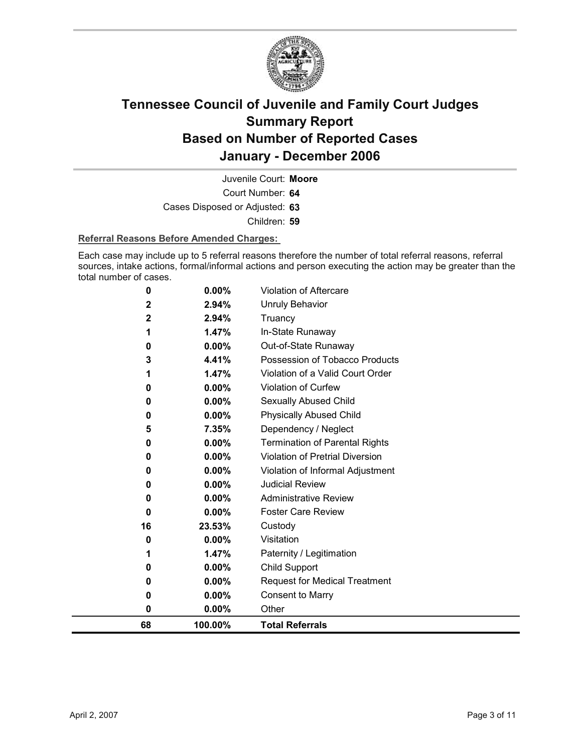

Court Number: **64** Juvenile Court: **Moore** Cases Disposed or Adjusted: **63** Children: **59**

#### **Referral Reasons Before Amended Charges:**

Each case may include up to 5 referral reasons therefore the number of total referral reasons, referral sources, intake actions, formal/informal actions and person executing the action may be greater than the total number of cases.

| 0<br>0<br>0<br>0 | $0.00\%$<br>$0.00\%$<br>0.00%<br>0.00%                   | Child Support<br><b>Request for Medical Treatment</b><br><b>Consent to Marry</b><br>Other                            |
|------------------|----------------------------------------------------------|----------------------------------------------------------------------------------------------------------------------|
|                  |                                                          |                                                                                                                      |
|                  |                                                          |                                                                                                                      |
|                  |                                                          |                                                                                                                      |
|                  |                                                          |                                                                                                                      |
|                  | 1.47%                                                    | Paternity / Legitimation                                                                                             |
| 0                | 0.00%                                                    | Visitation                                                                                                           |
| 16               | 23.53%                                                   | Custody                                                                                                              |
| 0                | 0.00%                                                    | <b>Foster Care Review</b>                                                                                            |
| 0                | $0.00\%$                                                 | <b>Administrative Review</b>                                                                                         |
| 0                | $0.00\%$                                                 | <b>Judicial Review</b>                                                                                               |
| 0                | 0.00%                                                    | Violation of Informal Adjustment                                                                                     |
| 0                |                                                          | <b>Violation of Pretrial Diversion</b>                                                                               |
| 0                |                                                          | <b>Termination of Parental Rights</b>                                                                                |
|                  |                                                          | Dependency / Neglect                                                                                                 |
|                  |                                                          | <b>Physically Abused Child</b>                                                                                       |
|                  |                                                          | Sexually Abused Child                                                                                                |
|                  |                                                          | <b>Violation of Curfew</b>                                                                                           |
|                  |                                                          | Violation of a Valid Court Order                                                                                     |
|                  |                                                          | Possession of Tobacco Products                                                                                       |
|                  |                                                          | In-State Runaway<br>Out-of-State Runaway                                                                             |
|                  |                                                          | Truancy                                                                                                              |
|                  |                                                          | <b>Unruly Behavior</b>                                                                                               |
|                  |                                                          | <b>Violation of Aftercare</b>                                                                                        |
|                  | 0<br>2<br>2<br>1<br>0<br>3<br>1<br>0<br>0<br>0<br>5<br>1 | 0.00%<br>2.94%<br>2.94%<br>1.47%<br>0.00%<br>4.41%<br>1.47%<br>0.00%<br>$0.00\%$<br>0.00%<br>7.35%<br>0.00%<br>0.00% |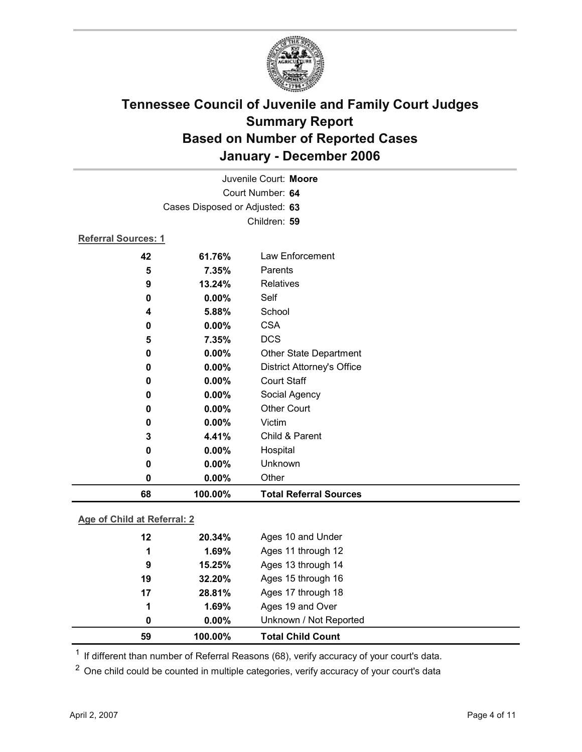

|                            |                                | Juvenile Court: Moore             |
|----------------------------|--------------------------------|-----------------------------------|
|                            |                                | Court Number: 64                  |
|                            | Cases Disposed or Adjusted: 63 |                                   |
|                            |                                | Children: 59                      |
| <b>Referral Sources: 1</b> |                                |                                   |
| 42                         | 61.76%                         | Law Enforcement                   |
| 5                          | 7.35%                          | Parents                           |
| 9                          | 13.24%                         | Relatives                         |
| 0                          | $0.00\%$                       | Self                              |
| 4                          | 5.88%                          | School                            |
| 0                          | 0.00%                          | <b>CSA</b>                        |
| 5                          | 7.35%                          | <b>DCS</b>                        |
| 0                          | 0.00%                          | <b>Other State Department</b>     |
| 0                          | 0.00%                          | <b>District Attorney's Office</b> |
| 0                          | 0.00%                          | <b>Court Staff</b>                |
| 0                          | $0.00\%$                       | Social Agency                     |
| 0                          | 0.00%                          | <b>Other Court</b>                |
| 0                          | 0.00%                          | Victim                            |
| 3                          | 4.41%                          | Child & Parent                    |
| 0                          | 0.00%                          | Hospital                          |
| 0                          | 0.00%                          | Unknown                           |
| 0                          | 0.00%                          | Other                             |
| 68                         | 100.00%                        | <b>Total Referral Sources</b>     |

#### **Age of Child at Referral: 2**

| 59 | 100.00%  | <b>Total Child Count</b> |  |
|----|----------|--------------------------|--|
| 0  | $0.00\%$ | Unknown / Not Reported   |  |
| 1  | 1.69%    | Ages 19 and Over         |  |
| 17 | 28.81%   | Ages 17 through 18       |  |
| 19 | 32.20%   | Ages 15 through 16       |  |
| 9  | 15.25%   | Ages 13 through 14       |  |
| 1  | 1.69%    | Ages 11 through 12       |  |
| 12 | 20.34%   | Ages 10 and Under        |  |
|    |          |                          |  |

 $1$  If different than number of Referral Reasons (68), verify accuracy of your court's data.

<sup>2</sup> One child could be counted in multiple categories, verify accuracy of your court's data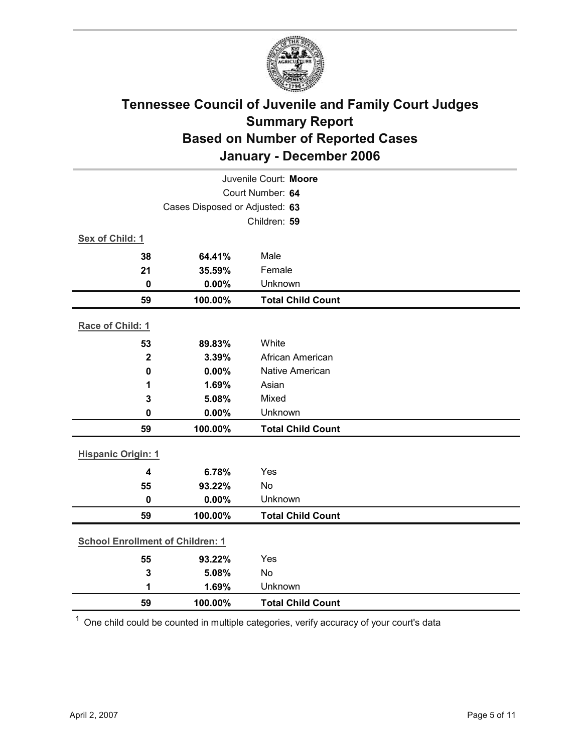

| Juvenile Court: Moore                   |                 |                           |  |  |  |
|-----------------------------------------|-----------------|---------------------------|--|--|--|
| Court Number: 64                        |                 |                           |  |  |  |
| Cases Disposed or Adjusted: 63          |                 |                           |  |  |  |
|                                         | Children: 59    |                           |  |  |  |
| Sex of Child: 1                         |                 |                           |  |  |  |
| 38                                      | 64.41%          | Male                      |  |  |  |
| 21                                      | 35.59%          | Female                    |  |  |  |
| $\mathbf 0$                             | 0.00%           | Unknown                   |  |  |  |
| 59                                      | 100.00%         | <b>Total Child Count</b>  |  |  |  |
| Race of Child: 1                        |                 |                           |  |  |  |
|                                         |                 |                           |  |  |  |
| 53                                      | 89.83%<br>3.39% | White<br>African American |  |  |  |
| $\mathbf{2}$<br>$\mathbf 0$             | 0.00%           | <b>Native American</b>    |  |  |  |
| 1                                       | 1.69%           | Asian                     |  |  |  |
| 3                                       | 5.08%           | Mixed                     |  |  |  |
| 0                                       | 0.00%           | Unknown                   |  |  |  |
| 59                                      | 100.00%         | <b>Total Child Count</b>  |  |  |  |
|                                         |                 |                           |  |  |  |
| <b>Hispanic Origin: 1</b>               |                 |                           |  |  |  |
| $\overline{\mathbf{4}}$                 | 6.78%           | Yes                       |  |  |  |
| 55                                      | 93.22%          | No                        |  |  |  |
| $\mathbf 0$                             | 0.00%           | Unknown                   |  |  |  |
| 59                                      | 100.00%         | <b>Total Child Count</b>  |  |  |  |
| <b>School Enrollment of Children: 1</b> |                 |                           |  |  |  |
|                                         |                 | Yes                       |  |  |  |
| 55<br>$\mathbf{3}$                      | 93.22%<br>5.08% | No                        |  |  |  |
| 1                                       | 1.69%           | Unknown                   |  |  |  |
| 59                                      | 100.00%         | <b>Total Child Count</b>  |  |  |  |
|                                         |                 |                           |  |  |  |

 $1$  One child could be counted in multiple categories, verify accuracy of your court's data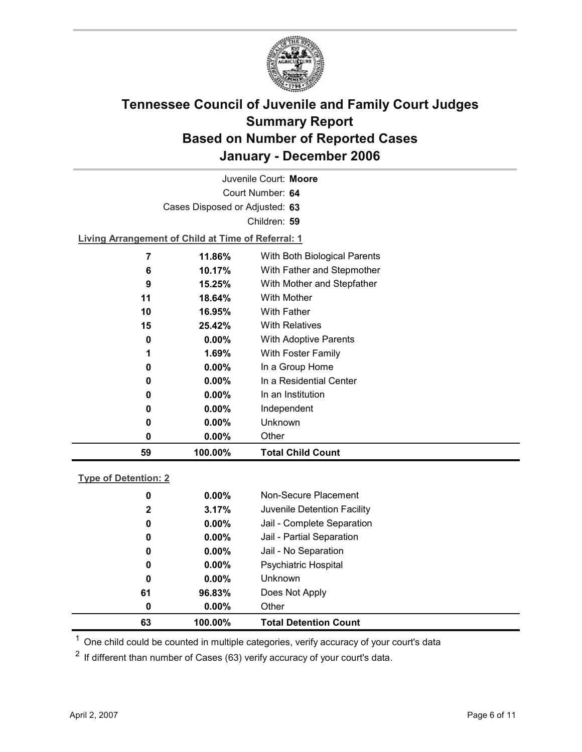

| Juvenile Court: Moore |                             |                                                    |                              |  |  |  |
|-----------------------|-----------------------------|----------------------------------------------------|------------------------------|--|--|--|
|                       | Court Number: 64            |                                                    |                              |  |  |  |
|                       |                             | Cases Disposed or Adjusted: 63                     |                              |  |  |  |
|                       |                             |                                                    | Children: 59                 |  |  |  |
|                       |                             | Living Arrangement of Child at Time of Referral: 1 |                              |  |  |  |
|                       | 7                           | 11.86%                                             | With Both Biological Parents |  |  |  |
|                       | 6                           | 10.17%                                             | With Father and Stepmother   |  |  |  |
|                       | 9                           | 15.25%                                             | With Mother and Stepfather   |  |  |  |
|                       | With Mother<br>11<br>18.64% |                                                    |                              |  |  |  |
|                       | 10                          | 16.95%                                             | <b>With Father</b>           |  |  |  |
|                       | 15                          | 25.42%                                             | <b>With Relatives</b>        |  |  |  |
|                       | 0                           | $0.00\%$                                           | <b>With Adoptive Parents</b> |  |  |  |

| 59 |   | 100.00%  | <b>Total Child Count</b> |
|----|---|----------|--------------------------|
|    | 0 | $0.00\%$ | Other                    |
|    | 0 | $0.00\%$ | Unknown                  |
|    | 0 | $0.00\%$ | Independent              |
|    | 0 | $0.00\%$ | In an Institution        |
|    | 0 | $0.00\%$ | In a Residential Center  |
|    | 0 | $0.00\%$ | In a Group Home          |
|    | 1 | 1.69%    | With Foster Family       |
|    | 0 | $0.00\%$ | With Adoptive Parents    |
|    |   |          |                          |

| <b>Type of Detention: 2</b> |
|-----------------------------|
|-----------------------------|

| 63           | 100.00%  | <b>Total Detention Count</b> |
|--------------|----------|------------------------------|
| 0            | $0.00\%$ | Other                        |
| 61           | 96.83%   | Does Not Apply               |
| 0            | $0.00\%$ | <b>Unknown</b>               |
| 0            | $0.00\%$ | <b>Psychiatric Hospital</b>  |
| 0            | $0.00\%$ | Jail - No Separation         |
| 0            | $0.00\%$ | Jail - Partial Separation    |
| 0            | $0.00\%$ | Jail - Complete Separation   |
| $\mathbf{2}$ | 3.17%    | Juvenile Detention Facility  |
| 0            | $0.00\%$ | Non-Secure Placement         |
|              |          |                              |

 $<sup>1</sup>$  One child could be counted in multiple categories, verify accuracy of your court's data</sup>

 $2$  If different than number of Cases (63) verify accuracy of your court's data.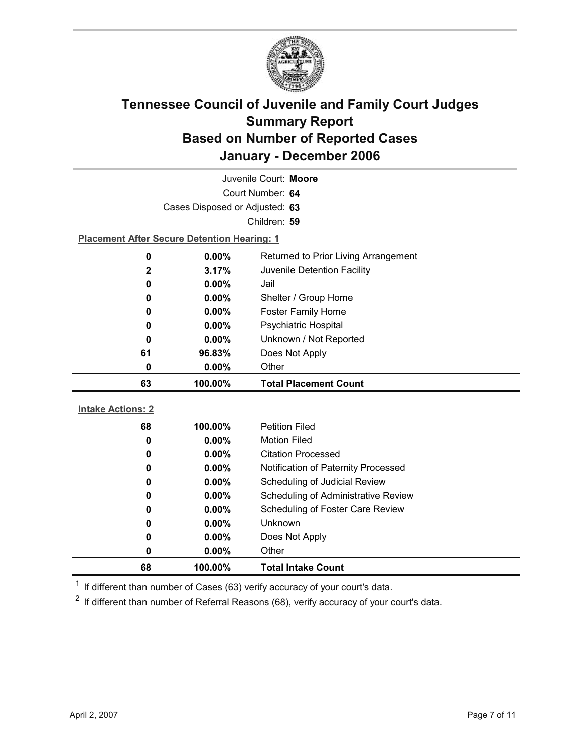

| Juvenile Court: Moore          |                                                    |                                      |  |  |
|--------------------------------|----------------------------------------------------|--------------------------------------|--|--|
| Court Number: 64               |                                                    |                                      |  |  |
| Cases Disposed or Adjusted: 63 |                                                    |                                      |  |  |
|                                |                                                    | Children: 59                         |  |  |
|                                | <b>Placement After Secure Detention Hearing: 1</b> |                                      |  |  |
| $\bf{0}$                       | 0.00%                                              | Returned to Prior Living Arrangement |  |  |
| 2                              | 3.17%                                              | Juvenile Detention Facility          |  |  |
| 0                              | 0.00%                                              | Jail                                 |  |  |
| 0                              | $0.00\%$                                           | Shelter / Group Home                 |  |  |
| 0                              | 0.00%                                              | <b>Foster Family Home</b>            |  |  |
| 0                              | $0.00\%$                                           | Psychiatric Hospital                 |  |  |
| 0                              | $0.00\%$                                           | Unknown / Not Reported               |  |  |
| 61                             | 96.83%                                             | Does Not Apply                       |  |  |
| 0                              | 0.00%                                              | Other                                |  |  |
|                                |                                                    |                                      |  |  |
| 63                             | 100.00%                                            | <b>Total Placement Count</b>         |  |  |
|                                |                                                    |                                      |  |  |
| <b>Intake Actions: 2</b>       |                                                    |                                      |  |  |
| 68                             | 100.00%                                            | <b>Petition Filed</b>                |  |  |
| 0                              | 0.00%                                              | <b>Motion Filed</b>                  |  |  |
| 0                              | $0.00\%$                                           | <b>Citation Processed</b>            |  |  |
| 0                              | $0.00\%$                                           | Notification of Paternity Processed  |  |  |
| 0                              | $0.00\%$                                           | Scheduling of Judicial Review        |  |  |
| 0                              | $0.00\%$                                           | Scheduling of Administrative Review  |  |  |
| 0                              | $0.00\%$                                           | Scheduling of Foster Care Review     |  |  |
| 0                              | 0.00%                                              | Unknown                              |  |  |
| 0                              | $0.00\%$                                           | Does Not Apply                       |  |  |
| 0<br>68                        | 0.00%<br>100.00%                                   | Other<br><b>Total Intake Count</b>   |  |  |

 $1$  If different than number of Cases (63) verify accuracy of your court's data.

 $2$  If different than number of Referral Reasons (68), verify accuracy of your court's data.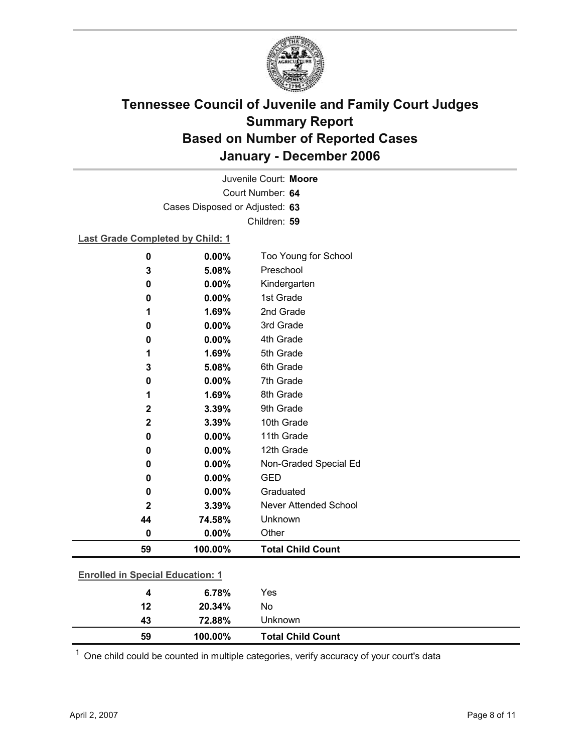

Court Number: **64** Juvenile Court: **Moore** Cases Disposed or Adjusted: **63** Children: **59**

#### **Last Grade Completed by Child: 1**

| 0                                       | 0.00%                       | Too Young for School         |
|-----------------------------------------|-----------------------------|------------------------------|
| 3                                       | 5.08%                       | Preschool                    |
| 0                                       | 0.00%                       | Kindergarten                 |
| 0                                       | 0.00%                       | 1st Grade                    |
| 1                                       | 1.69%                       | 2nd Grade                    |
| 0                                       | 0.00%                       | 3rd Grade                    |
| 0                                       | 0.00%                       | 4th Grade                    |
| 1                                       | 1.69%                       | 5th Grade                    |
| 3                                       | 5.08%                       | 6th Grade                    |
| 0                                       | 0.00%                       | 7th Grade                    |
| 1                                       | 1.69%                       | 8th Grade                    |
| $\mathbf 2$                             | 3.39%                       | 9th Grade                    |
| $\mathbf 2$                             | 3.39%                       | 10th Grade                   |
| 0                                       | 0.00%                       | 11th Grade                   |
| 0                                       | 0.00%                       | 12th Grade                   |
| 0                                       | 0.00%                       | Non-Graded Special Ed        |
| 0                                       | 0.00%                       | <b>GED</b>                   |
| 0                                       | 0.00%                       | Graduated                    |
| 2                                       | 3.39%                       | <b>Never Attended School</b> |
| 44                                      | 74.58%                      | Unknown                      |
| 0                                       | 0.00%                       | Other                        |
| 59                                      | 100.00%                     | <b>Total Child Count</b>     |
|                                         |                             |                              |
| <b>Enrolled in Special Education: 1</b> |                             |                              |
|                                         | $\sim$ $\sim$ $\sim$ $\sim$ |                              |

 $1$  One child could be counted in multiple categories, verify accuracy of your court's data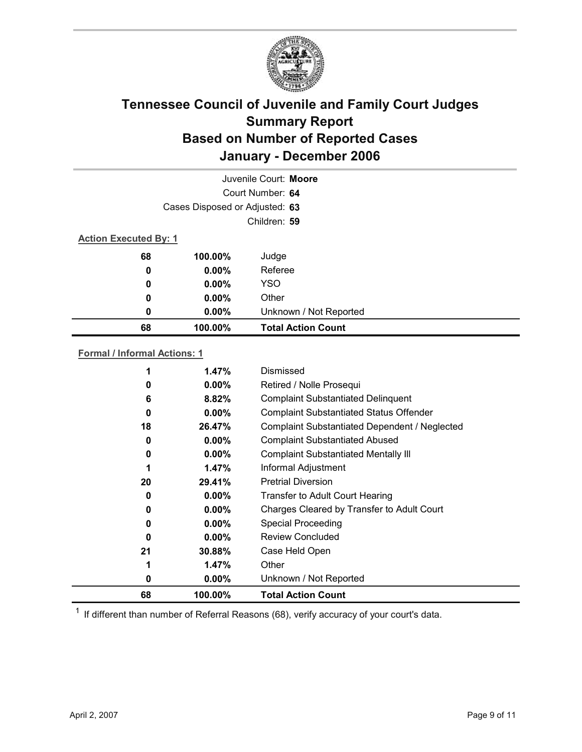

| Juvenile Court: Moore          |                  |                           |  |  |  |
|--------------------------------|------------------|---------------------------|--|--|--|
|                                | Court Number: 64 |                           |  |  |  |
| Cases Disposed or Adjusted: 63 |                  |                           |  |  |  |
| Children: 59                   |                  |                           |  |  |  |
| <b>Action Executed By: 1</b>   |                  |                           |  |  |  |
| 68                             | 100.00%          | Judge                     |  |  |  |
| 0                              | $0.00\%$         | Referee                   |  |  |  |
| $\boldsymbol{0}$               | $0.00\%$         | <b>YSO</b>                |  |  |  |
| 0                              | $0.00\%$         | Other                     |  |  |  |
| 0                              | $0.00\%$         | Unknown / Not Reported    |  |  |  |
| 68                             | 100.00%          | <b>Total Action Count</b> |  |  |  |

#### **Formal / Informal Actions: 1**

| 68 | 100.00%  | <b>Total Action Count</b>                      |
|----|----------|------------------------------------------------|
| 0  | $0.00\%$ | Unknown / Not Reported                         |
| 1  | 1.47%    | Other                                          |
| 21 | 30.88%   | Case Held Open                                 |
| 0  | $0.00\%$ | <b>Review Concluded</b>                        |
| 0  | $0.00\%$ | <b>Special Proceeding</b>                      |
| 0  | $0.00\%$ | Charges Cleared by Transfer to Adult Court     |
| 0  | $0.00\%$ | Transfer to Adult Court Hearing                |
| 20 | 29.41%   | <b>Pretrial Diversion</b>                      |
| 1  | 1.47%    | Informal Adjustment                            |
| 0  | $0.00\%$ | <b>Complaint Substantiated Mentally III</b>    |
| 0  | $0.00\%$ | <b>Complaint Substantiated Abused</b>          |
| 18 | 26.47%   | Complaint Substantiated Dependent / Neglected  |
| 0  | $0.00\%$ | <b>Complaint Substantiated Status Offender</b> |
| 6  | 8.82%    | <b>Complaint Substantiated Delinquent</b>      |
| 0  | $0.00\%$ | Retired / Nolle Prosequi                       |
|    | 1.47%    | Dismissed                                      |
|    |          |                                                |

 $1$  If different than number of Referral Reasons (68), verify accuracy of your court's data.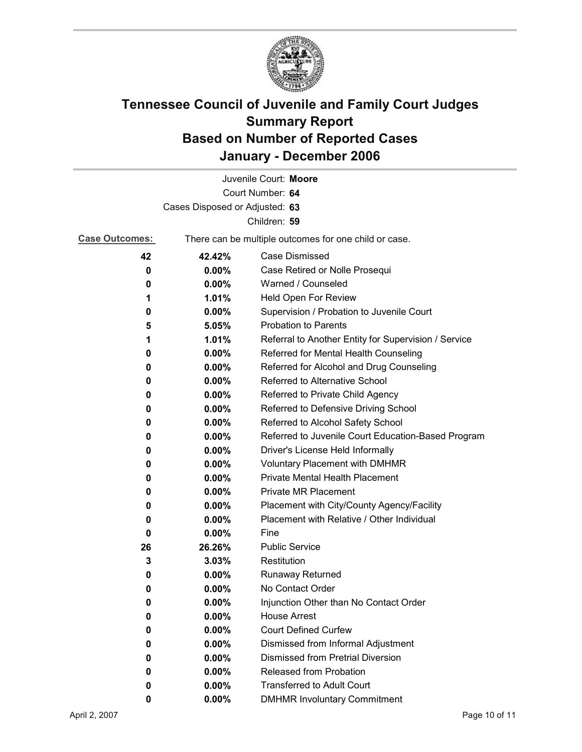

|                       |                                | Juvenile Court: Moore                                                      |  |  |  |
|-----------------------|--------------------------------|----------------------------------------------------------------------------|--|--|--|
| Court Number: 64      |                                |                                                                            |  |  |  |
|                       | Cases Disposed or Adjusted: 63 |                                                                            |  |  |  |
|                       |                                | Children: 59                                                               |  |  |  |
| <b>Case Outcomes:</b> |                                | There can be multiple outcomes for one child or case.                      |  |  |  |
| 42                    | 42.42%                         | <b>Case Dismissed</b>                                                      |  |  |  |
| 0                     | 0.00%                          | Case Retired or Nolle Prosequi                                             |  |  |  |
| 0                     | 0.00%                          | Warned / Counseled                                                         |  |  |  |
| 1                     | 1.01%                          | Held Open For Review                                                       |  |  |  |
| 0                     | 0.00%                          | Supervision / Probation to Juvenile Court                                  |  |  |  |
| 5                     | 5.05%                          | <b>Probation to Parents</b>                                                |  |  |  |
| 1                     | 1.01%                          | Referral to Another Entity for Supervision / Service                       |  |  |  |
| 0                     | $0.00\%$                       | Referred for Mental Health Counseling                                      |  |  |  |
| 0                     | 0.00%                          | Referred for Alcohol and Drug Counseling                                   |  |  |  |
| 0                     | 0.00%                          | Referred to Alternative School                                             |  |  |  |
| 0                     | 0.00%                          | Referred to Private Child Agency                                           |  |  |  |
| 0                     | 0.00%                          | Referred to Defensive Driving School                                       |  |  |  |
| 0                     | $0.00\%$                       | Referred to Alcohol Safety School                                          |  |  |  |
| 0                     | 0.00%                          | Referred to Juvenile Court Education-Based Program                         |  |  |  |
| 0                     | $0.00\%$                       | Driver's License Held Informally                                           |  |  |  |
| 0                     | $0.00\%$                       | <b>Voluntary Placement with DMHMR</b>                                      |  |  |  |
| 0                     | 0.00%                          | <b>Private Mental Health Placement</b>                                     |  |  |  |
| 0                     | 0.00%                          | <b>Private MR Placement</b>                                                |  |  |  |
| 0                     | 0.00%                          | Placement with City/County Agency/Facility                                 |  |  |  |
| 0                     | $0.00\%$                       | Placement with Relative / Other Individual                                 |  |  |  |
| 0                     | 0.00%                          | Fine                                                                       |  |  |  |
| 26                    | 26.26%                         | <b>Public Service</b>                                                      |  |  |  |
| 3                     | 3.03%                          | Restitution                                                                |  |  |  |
| 0                     | 0.00%                          | <b>Runaway Returned</b>                                                    |  |  |  |
| 0                     | 0.00%                          | No Contact Order                                                           |  |  |  |
| 0                     | 0.00%                          | Injunction Other than No Contact Order                                     |  |  |  |
| 0                     | 0.00%                          | <b>House Arrest</b>                                                        |  |  |  |
| 0                     | 0.00%                          | <b>Court Defined Curfew</b>                                                |  |  |  |
| 0                     | 0.00%                          | Dismissed from Informal Adjustment                                         |  |  |  |
| 0                     | $0.00\%$                       | <b>Dismissed from Pretrial Diversion</b><br><b>Released from Probation</b> |  |  |  |
| 0                     | 0.00%                          | <b>Transferred to Adult Court</b>                                          |  |  |  |
| 0                     | 0.00%                          |                                                                            |  |  |  |
| 0                     | $0.00\%$                       | <b>DMHMR Involuntary Commitment</b>                                        |  |  |  |